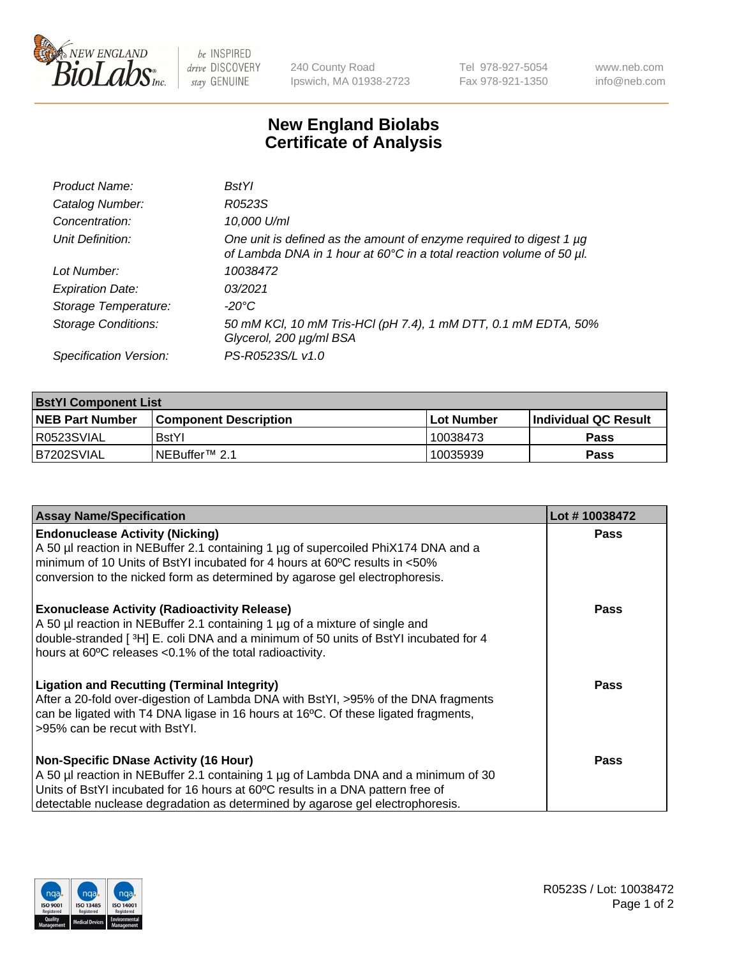

be INSPIRED drive DISCOVERY stay GENUINE

240 County Road Ipswich, MA 01938-2723 Tel 978-927-5054 Fax 978-921-1350 www.neb.com info@neb.com

## **New England Biolabs Certificate of Analysis**

| Product Name:              | <b>BstYl</b>                                                                                                                                     |
|----------------------------|--------------------------------------------------------------------------------------------------------------------------------------------------|
| Catalog Number:            | R0523S                                                                                                                                           |
| Concentration:             | 10,000 U/ml                                                                                                                                      |
| Unit Definition:           | One unit is defined as the amount of enzyme required to digest 1 $\mu$ g<br>of Lambda DNA in 1 hour at 60°C in a total reaction volume of 50 µl. |
| Lot Number:                | 10038472                                                                                                                                         |
| <b>Expiration Date:</b>    | 03/2021                                                                                                                                          |
| Storage Temperature:       | -20°C                                                                                                                                            |
| <b>Storage Conditions:</b> | 50 mM KCl, 10 mM Tris-HCl (pH 7.4), 1 mM DTT, 0.1 mM EDTA, 50%<br>Glycerol, 200 µg/ml BSA                                                        |
| Specification Version:     | PS-R0523S/L v1.0                                                                                                                                 |

| <b>BstYl Component List</b> |                              |              |                             |  |  |
|-----------------------------|------------------------------|--------------|-----------------------------|--|--|
| <b>NEB Part Number</b>      | <b>Component Description</b> | l Lot Number | <b>Individual QC Result</b> |  |  |
| R0523SVIAL                  | <b>BstYI</b>                 | 10038473     | Pass                        |  |  |
| B7202SVIAL                  | INEBuffer™ 2.1               | 10035939     | Pass                        |  |  |

| <b>Assay Name/Specification</b>                                                                                                                                                                                                                                                                       | Lot #10038472 |
|-------------------------------------------------------------------------------------------------------------------------------------------------------------------------------------------------------------------------------------------------------------------------------------------------------|---------------|
| <b>Endonuclease Activity (Nicking)</b><br>A 50 µl reaction in NEBuffer 2.1 containing 1 µg of supercoiled PhiX174 DNA and a<br>minimum of 10 Units of BstYI incubated for 4 hours at 60°C results in <50%<br>conversion to the nicked form as determined by agarose gel electrophoresis.              | <b>Pass</b>   |
| <b>Exonuclease Activity (Radioactivity Release)</b><br>A 50 µl reaction in NEBuffer 2.1 containing 1 µg of a mixture of single and<br>double-stranded [3H] E. coli DNA and a minimum of 50 units of BstYl incubated for 4<br>hours at 60°C releases <0.1% of the total radioactivity.                 | <b>Pass</b>   |
| <b>Ligation and Recutting (Terminal Integrity)</b><br>After a 20-fold over-digestion of Lambda DNA with BstYI, >95% of the DNA fragments<br>can be ligated with T4 DNA ligase in 16 hours at 16°C. Of these ligated fragments,<br>>95% can be recut with BstYl.                                       | <b>Pass</b>   |
| <b>Non-Specific DNase Activity (16 Hour)</b><br>A 50 µl reaction in NEBuffer 2.1 containing 1 µg of Lambda DNA and a minimum of 30<br>Units of BstYI incubated for 16 hours at 60°C results in a DNA pattern free of<br>detectable nuclease degradation as determined by agarose gel electrophoresis. | Pass          |